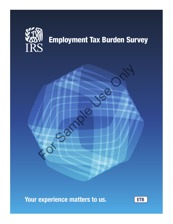

# Employment Tax Burden Survey

Your experience matters to us.

For Sample

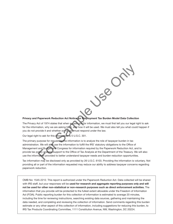

#### Privacy and Paperwork Reduction Act Notice for Employment Tax Burden Model Data Collection

The Privacy Act of 1974 states that when we ask you for information, we must first tell you our legal right to ask for the information, why we are asking for it, and how it will be used. We must also tell you what could happen if you do not provide it and whether or not you must respond under the law.

Our legal right to ask for this information is 5 U.S.C. 301.

The primary purpose for requesting the information is to analyze the role of taxpayer burden in tax administration. We will also use the information to fulfill the IRS' statutory obligations to the Office of Management and Budget and Congress for information required by the Paperwork Reduction Act, and to provide tax policy analysis support to the Office of Tax Analysis at the Department of the Treasury. We will also use the information provided to better understand taxpayer needs and burden reduction opportunities.

Tax information may be disclosed only as provided by 26 U.S.C. 6103. Providing the information is voluntary. Not providing all or part of the information requested may reduce our ability to address taxpayer concerns regarding paperwork reduction.

OMB No: 1545‐2212. This report is authorized under the Paperwork Reduction Act. Data collected will be shared with IRS staff, but your responses will be used for research and aggregate reporting purposes only and will not be used for other non‐statistical or non‐research purposes such as direct enforcement activities. The information that you provide will be protected to the fullest extent allowable under the Freedom of Information Act (FOIA). Public reporting burden for this collection of information is estimated to average 20 minutes, including the time for reviewing instructions, searching existing data sources, gathering and maintaining the data needed, and completing and reviewing the collection of information. Send comments regarding this burden estimate or any other aspect of this collection of information, including suggestions for reducing this burden, to IRS Tax Products Coordinating Committee, 1111 Constitution Avenue, NW, Washington, DC 20224.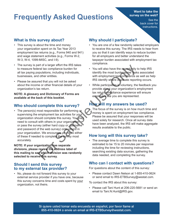# **Frequently Asked Questions**

#### Want to take the survey on the web?

See the back cover for instructions.

### **What is this survey about?**

- This survey is about the time and money your organization spent on its Tax Year 2013 employment tax returns (e.g., Forms 940 and 941) and wage statement activities (e.g., Forms W-2, W-3, W-4, 1099-MISC, and I-9).
- The survey is part of a larger effort the IRS takes to measure federal tax compliance burden for all tax paying populations, including individuals, businesses, and other entities.
- Please be assured that you will not be asked about the income or other financial details of your organization's tax return.

**NOTE: A glossary and Dictionary of Forms are available at the back of this booklet.**

### **Who should complete this survey?**

• The person(s) most responsible for performing or supervising the employment tax activities for your organization should complete this survey. You may need to consult with others in your organization or pass the survey (either hard copy or username and password of the web survey) onto others in your organization. We encourage you to do either of these if needed to complete the survey most accurately. For a larger emotion and point and the HS axes be a state of the sample and the sample and the sample of the sample of the sample of the anticopy of the matical details of your the mptoyent tax centure and Decision in the

**NOTE: If your organization has separate divisions, please review the address label of this mailing to see which division was randomly selected to receive this survey**.

#### **Should I send this survey to my external tax provider?**

• No, please do not forward this survey to your external service provider if you have one, because this survey concerns time and costs spent by your organization, not theirs.

## **Why should I participate?**

- You are one of a few randomly selected employers to receive this survey. The IRS needs to hear from you so that it can identify ways to reduce burden for all employers and better understand the taxpayer burden associated with employment tax compliance.
- You will also have the opportunity to help IRS identify the most burdensome tasks associated with employment tax compliance as well as help IRS identify where duplicate reporting occurs.
- While participation is voluntary, the feedback you provide about your organization's employment tax return compliance experience will ensure employers like you are represented.

# **How will my answers be used?**

The focus of the survey is on how much time and money is spent on employment tax compliance. Please be assured that your responses will be used solely for research. Once all survey data have been analyzed, the IRS will make aggregate results available to the public.

### **How long will this survey take?**

• The average time to complete this survey is estimated to be 15 to 20 minutes per response including the time for reviewing instructions, searching existing data sources, gathering the data needed, and completing the survey.

## **Who can I contact with questions?**

For questions about the content of this survey:

• Please contact Dawn Nelson at 1-855-410-0624 or send email to IRS-ETBSurvey@westat.com.

To contact the IRS about this survey:

• Please call Tani Hunt at 206-220-5681 or send an email to Tani.N.Hunt@IRS.gov.

Si quiere usted tomar esta encuesta en español, por favor llame al 855-410-0624 o envíe un email al IRS-ETBSurvey@westat.com.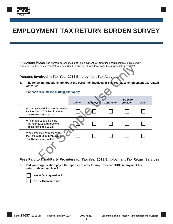

# **EMPLOYMENT TAX RETURN BURDEN SURVEY**

**Important Note:** The person(s) responsible for employment tax activities should complete this survey. If you are not the best person(s) to respond to this survey, please forward to the appropriate person(s).

#### **Persons Involved in Tax Year 2013 Employment Tax Activities**

| If you are not the best person(s) to respond to this survey, please forward to the appropriate person(s).        |                                                                                            |              |                 |                   |                                |              |
|------------------------------------------------------------------------------------------------------------------|--------------------------------------------------------------------------------------------|--------------|-----------------|-------------------|--------------------------------|--------------|
|                                                                                                                  | Persons Involved in Tax Year 2013 Employment Tax Activities                                |              |                 |                   |                                |              |
| The following questions are about the personnel involved in Tax Year 2013 employment tax-re<br>1.<br>activities. |                                                                                            |              |                 |                   |                                |              |
|                                                                                                                  | For each row, please mark all that apply.                                                  |              |                 |                   |                                |              |
|                                                                                                                  |                                                                                            | <b>Owner</b> | <b>Employee</b> | <b>Contractor</b> | <b>Third-party</b><br>provider | <b>Other</b> |
|                                                                                                                  | Who maintained the records needed<br>for Tax Year 2013 Employment<br>Tax Returns and W-2s? |              |                 |                   |                                |              |
|                                                                                                                  | Who prepared and filed the<br>Tax Year 2013 Employment<br>Tax Returns and W-2s?            |              |                 |                   |                                |              |
|                                                                                                                  | Who completed corrections to<br>the Tax Year 2013 Employment<br>Tax Returns and W-2s?      |              |                 |                   |                                |              |
|                                                                                                                  | Fees Paid to Third-Party Providers for Tax Year 2013 Employment Tax Return Serv            |              |                 |                   |                                |              |

**Fees Paid to Third-Party Providers for Tax Year 2013 Employment Tax Return Services**

**2. Did your organization pay a third-party provider for any Tax Year 2013 employment tax return-related services?**

 $Yes \rightarrow Go$  to question 3

 $No \rightarrow Go$  to question 5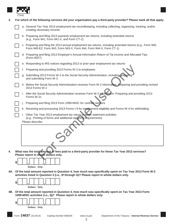

| 3. | For which of the following services did your organization pay a third-party provider? Please mark all that apply. |  |                                                                                                                                                                                   |  |  |
|----|-------------------------------------------------------------------------------------------------------------------|--|-----------------------------------------------------------------------------------------------------------------------------------------------------------------------------------|--|--|
|    |                                                                                                                   |  | a. General Tax Year 2013 employment tax recordkeeping, including collecting, organizing, tracking, and/or<br>creating necessary records                                           |  |  |
|    |                                                                                                                   |  | b. Preparing and filing 2013 quarterly employment tax returns, including amended returns<br>(e.g., Form 941, Form 941-X, and Form CT-2)                                           |  |  |
|    |                                                                                                                   |  | c. Preparing and filing the 2013 annual employment tax returns, including amended returns (e.g., Form 940,<br>Form 940-EZ, Form 943, Form 943-X, Form 944, Form 944-X, Form CT-1) |  |  |
|    |                                                                                                                   |  | d. Preparing and filing 2013 Employer's Annual Information Return of Tip Income and Allocated Tips<br>(Form 8027)                                                                 |  |  |
|    |                                                                                                                   |  | e. Responding to IRS notices regarding 2013 or prior-year employment tax returns                                                                                                  |  |  |
|    |                                                                                                                   |  | Preparing and providing 2013 Forms W-2 to employees                                                                                                                               |  |  |
|    |                                                                                                                   |  | g. Submitting 2013 Forms W-2 to the Social Security Administration, including preparing<br>and submitting Form W-3                                                                |  |  |
|    |                                                                                                                   |  | h. Before the Social Security Administration receives Form W-2 information: Preparing and providing revised<br>2013 Forms W-2                                                     |  |  |
|    |                                                                                                                   |  | i. After the Social Security Administration receives Form W-2 information: Preparing and providing 2013<br>Forms W-2c                                                             |  |  |
|    |                                                                                                                   |  | Preparing and filing 2013 Form 1099-MISC for contract workers                                                                                                                     |  |  |
|    |                                                                                                                   |  | k. Receiving and processing 2013 Forms I-9 for employment eligibility and Forms W-4 for withholding                                                                               |  |  |
|    |                                                                                                                   |  | I. Other Tax Year 2013 employment tax return or wage statement activities<br>(e.g., Printing of forms and additional reporting requirements)                                      |  |  |
|    |                                                                                                                   |  | Please describe:                                                                                                                                                                  |  |  |
|    |                                                                                                                   |  |                                                                                                                                                                                   |  |  |
| 4. |                                                                                                                   |  | What was the total amount of fees paid to a third-party provider for these Tax Year 2013 services?<br>Please report in whole dollars only.                                        |  |  |



**4A. Of the total amount reported in Question 4, how much was specifically spent on Tax Year 2013 Form W-2 activities listed in Question 3 (i.e., 3f through 3i)? Please report in whole dollars only.**



**4B. Of the total amount reported in Question 4, how much was specifically spent on Tax Year 2013 Form 1099-MISC activities (i.e., 3j)? Please report in whole dollars only.**

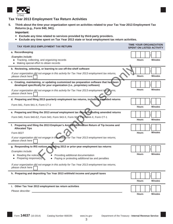

#### **Tax Year 2013 Employment Tax Return Activities**

**5. Think about the time your organization spent on activities related to your Tax Year 2013 Employment Tax Returns (e.g., Form 940, 941).**

**Important:**

- **Exclude any time related to services provided by third-party providers.**
- **Exclude any time spent on Tax Year 2013 state or local employment tax return activities.**

| TAX YEAR 2013 EMPLOYMENT TAX RETURN                                                                                                                                                                                                                                                                                                                                                    | <b>TIME YOUR ORGANIZATION</b><br><b>SPENT ON LISTED ACTIVITY</b> |
|----------------------------------------------------------------------------------------------------------------------------------------------------------------------------------------------------------------------------------------------------------------------------------------------------------------------------------------------------------------------------------------|------------------------------------------------------------------|
| a. Recordkeeping<br>Examples include:<br>Tracking, collecting, and organizing records<br>$\bullet$<br>Making special effort to obtain records                                                                                                                                                                                                                                          | <b>Hours</b><br><b>Minutes</b>                                   |
| b. Reviewing, selecting, or learning to use off-the-shelf software<br>If your organization did not engage in this activity for Tax Year 2013 employment tax returns,<br>please check here                                                                                                                                                                                              | <b>Hours</b><br><b>Minutes</b>                                   |
| c. Creating, maintaining, or updating customized tax preparation software that has been<br>developed specifically for your organization (i.e., proprietary software)<br>If your organization did not engage in this activity for Tax Year 2013 employment tax returns,<br>please check here                                                                                            | <b>Hours</b><br><b>Minutes</b>                                   |
| d. Preparing and filing 2013 quarterly employment tax returns, including amended returns<br>Form 941, Form 941-X, Form CT-2                                                                                                                                                                                                                                                            | <b>Hours</b><br><b>Minutes</b>                                   |
| e. Preparing and filing the 2013 annual employment tax return, including amended returns<br>Form 940, Form 940-EZ, Form 943, Form 943-X, Form 944, Form 944-X, Form CT-1                                                                                                                                                                                                               | <b>Minutes</b><br><b>Hours</b>                                   |
| f. Preparing and filing the 2013 Employer's Annual Information Return of Tip Income and<br><b>Allocated Tips</b><br>Form 8027<br>If your organization did not engage in this activity for Tax Year 2013 employment tax returns,<br>please check here                                                                                                                                   | <b>Minutes</b><br><b>Hours</b>                                   |
| g. Responding to IRS notices regarding 2013 or prior-year employment tax returns<br>Examples include:<br>Reading the notice(s)<br>Providing additional documentation<br>Preparing response(s)<br>Paying or protesting additional tax and penalties<br>$\bullet$<br>If your organization did not engage in this activity for Tax Year 2013 employment tax returns,<br>please check here | <b>Hours</b><br><b>Minutes</b>                                   |
| h. Preparing and depositing Tax Year 2013 withheld income and payroll taxes                                                                                                                                                                                                                                                                                                            | <b>Hours</b><br><b>Minutes</b>                                   |
| i. Other Tax Year 2013 employment tax return activities<br>Please describe: experience and the set of the set of the set of the set of the set of the set of the set of the set of the set of the set of the set of the set of the set of the set of the set of the set of the set of the                                                                                              | <b>Hours</b><br><b>Minutes</b>                                   |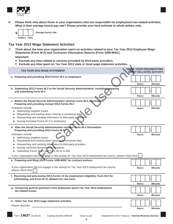

**6. Please think only about those in your organization who are responsible for employment tax-related activities. What is their average hourly pay rate? Please provide your best estimate in whole dollars only.**



#### **Tax Year 2013 Wage Statement Activities**

**7. Think about the time your organization spent on activities related to your Tax Year 2013 Employee Wage Statements (Form W-2) and Contractor Information Returns (Form 1099-MISC).**

**Important:**

- **Exclude any time related to services provided by third-party providers.**
- **Exclude any time spent on Tax Year 2013 state or local wage statement activities.**

| xviuuv any inno spont on Tax Toal zo iy siato of loogi wago siatomont aviiviti                                                                                                                                                                                                                                                                                                                                                                                                                                     |                                                                  |                |
|--------------------------------------------------------------------------------------------------------------------------------------------------------------------------------------------------------------------------------------------------------------------------------------------------------------------------------------------------------------------------------------------------------------------------------------------------------------------------------------------------------------------|------------------------------------------------------------------|----------------|
| <b>TAX YEAR 2013 WAGE STATEMENT</b>                                                                                                                                                                                                                                                                                                                                                                                                                                                                                | <b>TIME YOUR ORGANIZATION</b><br><b>SPENT ON LISTED ACTIVITY</b> |                |
| a. Preparing and providing 2013 Forms W-2 to employees                                                                                                                                                                                                                                                                                                                                                                                                                                                             | <b>Hours</b>                                                     | <b>Minutes</b> |
| b. Submitting 2013 Forms W-2 to the Social Security Administration, including preparing<br>and submitting Form W-3                                                                                                                                                                                                                                                                                                                                                                                                 | <b>Hours</b>                                                     | <b>Minutes</b> |
| c. Before the Social Security Administration receives Form W-2 information:<br>Preparing and providing revised 2013 Forms W-2<br>Examples include:<br>Addressing recipient issues<br>Requesting and tracking down missing or erroneous data<br>Researching and sending information to third-party providers<br>Issuing amended Forms W-2 to employees                                                                                                                                                              | <b>Hours</b>                                                     | <b>Minutes</b> |
| d. After the Social Security Administration receives Form W-2 information:<br>Preparing and providing 2013 Forms W-2c<br>Examples include:<br>Addressing recipient issues<br>Requesting and tracking down missing or erroneous data<br>Researching and sending information to third-party providers<br>Issuing corrected documents to recipients<br>Submitting Forms W-2c and Form W-3c to IRS<br>If your organization did not engage in this activity for Tax Year 2013 employment tax returns, please check here | <b>Hours</b>                                                     | <b>Minutes</b> |
| e. Preparing and filing 2013 Forms 1099-MISC for contract workers<br>If your organization did not engage in this activity for Tax Year 2013 employment tax returns,<br>please check here                                                                                                                                                                                                                                                                                                                           | <b>Hours</b>                                                     | <b>Minutes</b> |
| f. Receiving and processing 2013 Forms I-9 for employment eligibility, Form W-4 for<br>withholding, and Form W-11 affidavit for new hires                                                                                                                                                                                                                                                                                                                                                                          | <b>Hours</b>                                                     | <b>Minutes</b> |
| g. Answering general questions from employees about Tax Year 2013 employment<br>tax-related issues                                                                                                                                                                                                                                                                                                                                                                                                                 | <b>Hours</b>                                                     | <b>Minutes</b> |
| h. Other Tax Year 2013 wage statement activities                                                                                                                                                                                                                                                                                                                                                                                                                                                                   | <b>Hours</b>                                                     | <b>Minutes</b> |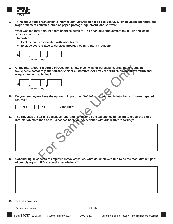

**Think about your organization's internal,** *non-labor* **costs for all Tax Year 2013 employment tax return and wage statement activities, such as paper, postage, equipment, and software. 8.**

**What was the total amount spent on these items for Tax Year 2013 employment tax return and wage statement activities?**

**Important:**

- **Exclude costs associated with labor hours.**
- **Exclude costs related to services provided by third-party providers.**





|  |  |  | Don't know |  |
|--|--|--|------------|--|
|--|--|--|------------|--|

| Of the total amount reported in Question 8, how much was for purchasing, creating, or updating<br>tax-specific software (either off-the-shelf or customized) for Tax Year 2013 employment tax return and<br>wage statement activities? |
|----------------------------------------------------------------------------------------------------------------------------------------------------------------------------------------------------------------------------------------|
| \$                                                                                                                                                                                                                                     |
| Dollars Only                                                                                                                                                                                                                           |
| Do your employees have the option to import their W-2 information directly into their software-prepared<br>returns?                                                                                                                    |
| Don't know<br><b>Yes</b><br><b>No</b>                                                                                                                                                                                                  |
| The IRS uses the term "duplicative reporting" to describe the experience of having to report the same<br>information more than once. What has been your experience with duplicative reporting?                                         |
|                                                                                                                                                                                                                                        |
|                                                                                                                                                                                                                                        |
| Considering all aspects of employment tax activities, what do employers find to be the most difficult part                                                                                                                             |

**12. Considering all aspects of employment tax activities, what do employers find to be the most difficult part of complying with IRS's reporting regulations?**

#### **13. Tell us about you**

Department name: Job title:

Form **14637** (10-2014) Catalog Number 66833N www.irs.gov Department of the Treasury - **Internal Revenue Service**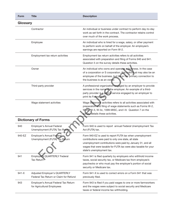| <b>Form</b> | <b>Title</b>                                                            | <b>Description</b>                                                                                                                                                                                                                                                              |
|-------------|-------------------------------------------------------------------------|---------------------------------------------------------------------------------------------------------------------------------------------------------------------------------------------------------------------------------------------------------------------------------|
| Glossary    |                                                                         |                                                                                                                                                                                                                                                                                 |
|             | Contractor                                                              | An individual or business under contract to perform day-to-day<br>work as set forth in the contract. The contractor retains control<br>over much of the work process.                                                                                                           |
|             | Employee                                                                | An individual who is hired for a wage, salary, or other payment<br>to perform work on behalf of the employer. An employee's<br>earnings are reported on Form W-2.                                                                                                               |
|             | Employment tax return activities                                        | Employment tax return activities refers to all activities<br>associated with preparation and filing of Forms 940 and 941.<br>Question 5 on the survey details these activities.                                                                                                 |
|             | Owner                                                                   | An individual who owns and operates a business. In the case<br>of a corporation or S corporation, this individual may also be an<br>employee of the business, but his or her primary connection to<br>the business is as an owner.                                              |
|             | Third-party provider                                                    | A professional organization engaged by an employer to provide<br>services in the name of the employer. An example of a third-<br>party provider is a payroll service engaged by an employer to<br>print its Forms W-2.                                                          |
|             | Wage statement activities                                               | Wage statement activities refers to all activities associated with<br>preparation and filing of wage statements such as Forms W-2,<br>W-2c, W-3, W-3c, 1099-MISC, and I-9. Question 7 on the<br>survey details these activities.                                                |
|             | <b>Dictionary of Forms</b>                                              |                                                                                                                                                                                                                                                                                 |
| 940         | Employer's Annual Federal<br>Unemployment (FUTA) Tax Return             | Form 940 is used to report annual Federal Unemployment Tax<br>Act (FUTA) tax.                                                                                                                                                                                                   |
| 940-EZ      | Employer's Annual Federal<br>Unemployment (FUTA) Tax Return             | Form 940-EZ is used to report FUTA tax when unemployment<br>contributions were paid to only one state, all state<br>unemployment contributions were paid by January 31, and all<br>wages that were taxable for FUTA tax were also taxable for your<br>state's unemployment tax. |
| 941         | Employer's QUARTERLY Federal<br>Tax Return                              | Form 941 is filed quarterly by employers who withhold income<br>taxes, social security tax, or Medicare tax from employee's<br>paychecks or who must pay the employer's portion of social<br>security or Medicare tax.                                                          |
| $941 - X$   | Adjusted Employer's QUARTERLY<br>Federal Tax Return or Claim for Refund | Form 941-X is used to correct errors on a Form 941 that was<br>previously filed.                                                                                                                                                                                                |
| 943         | Employer's Annual Federal Tax Return<br>for Agricultural Employees      | Form 943 is filed if you paid wages to one or more farmworkers<br>and the wages were subject to social security and Medicare<br>taxes or federal income tax withholding.                                                                                                        |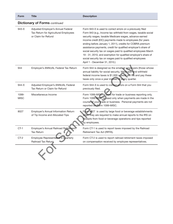| <b>Form</b>                          | <b>Title</b>                                                                                       | <b>Description</b>                                                                                                                                                                                                                                                                                                                                                                                                                                                                                                                                                                                                 |  |  |
|--------------------------------------|----------------------------------------------------------------------------------------------------|--------------------------------------------------------------------------------------------------------------------------------------------------------------------------------------------------------------------------------------------------------------------------------------------------------------------------------------------------------------------------------------------------------------------------------------------------------------------------------------------------------------------------------------------------------------------------------------------------------------------|--|--|
| <b>Dictionary of Forms continued</b> |                                                                                                    |                                                                                                                                                                                                                                                                                                                                                                                                                                                                                                                                                                                                                    |  |  |
| $943-X$                              | Adjusted Employer's Annual Federal<br>Tax Return for Agricultural Employees<br>or Claim for Refund | Form 943-X is used to correct errors on a previously filed<br>Form 943 (e.g., Income tax withheld from wages, taxable social<br>security wages, taxable Medicare wages, advance earned<br>income credit (EIC) payments made to employees (for years<br>ending before January 1, 2011), credits for COBRA premium<br>assistance payments, credit for qualified employer's share of<br>social security tax on wages paid to qualified employees March<br>19 - 31, 2010, and exemption for qualified employer's share of<br>social security tax on wages paid to qualified employees<br>April 1 - December 31, 2010.) |  |  |
| 944                                  | Employer's ANNUAL Federal Tax Return                                                               | Form 944 is designed so the smallest employers (those whose<br>annual liability for social security, Medicare, and withheld<br>federal income taxes is \$1,000 or less) will file and pay these<br>taxes only once a year instead of every quarter.                                                                                                                                                                                                                                                                                                                                                                |  |  |
| $944 - X$                            | Adjusted Employer's ANNUAL Federal<br>Tax Return or Claim for Refund                               | Form 944-X is used to correct errors on a Form 944 that you<br>previously filed.                                                                                                                                                                                                                                                                                                                                                                                                                                                                                                                                   |  |  |
| 1099-<br><b>MISC</b>                 | Miscellaneous Income                                                                               | Form 1099-MISC is used for trade or business reporting only.<br>Form 1099-MISC is used only when payments are made in the<br>course of your trade or business. Personal payments are not<br>reported on Form 1099-MISC.                                                                                                                                                                                                                                                                                                                                                                                            |  |  |
| 8027                                 | Employer's Annual Information Return<br>of Tip Income and Allocated Tips                           | Form 8027 is used by large food or beverage establishments<br>when they are required to make annual reports to the IRS on<br>receipts from food or beverage operations and tips reported<br>by employees.                                                                                                                                                                                                                                                                                                                                                                                                          |  |  |
| $CT-1$                               | Employer's Annual Railroad Retirement<br><b>Tax Return</b>                                         | Form CT-1 is used to report taxes imposed by the Railroad<br>Retirement Tax Act (RRTA).                                                                                                                                                                                                                                                                                                                                                                                                                                                                                                                            |  |  |
| CT-2                                 | Employee Representative's Quarterly<br>Railroad Tax Return                                         | Form CT-2 is used to report railroad retirement taxes imposed<br>on compensation received by employee representatives.                                                                                                                                                                                                                                                                                                                                                                                                                                                                                             |  |  |
|                                      |                                                                                                    |                                                                                                                                                                                                                                                                                                                                                                                                                                                                                                                                                                                                                    |  |  |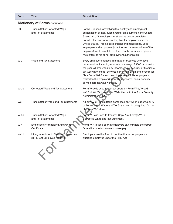| <b>Form</b>                          | <b>Title</b>                                                             | <b>Description</b>                                                                                                                                                                                                                                                                                                                                                                                                                                                                                                |  |  |
|--------------------------------------|--------------------------------------------------------------------------|-------------------------------------------------------------------------------------------------------------------------------------------------------------------------------------------------------------------------------------------------------------------------------------------------------------------------------------------------------------------------------------------------------------------------------------------------------------------------------------------------------------------|--|--|
| <b>Dictionary of Forms continued</b> |                                                                          |                                                                                                                                                                                                                                                                                                                                                                                                                                                                                                                   |  |  |
| $ -9$                                | Transmittal of Corrected Wage<br>and Tax Statements                      | Form I-9 is used for verifying the identity and employment<br>authorization of individuals hired for employment in the United<br>States. All U.S. employers must ensure proper completion of<br>Form I-9 for each individual they hire for employment in the<br>United States. This includes citizens and noncitizens. Both<br>employees and employers (or authorized representatives of the<br>employer) must complete the form. On the form, an employee<br>must attest to his or her employment authorization. |  |  |
| $W-2$                                | Wage and Tax Statement                                                   | Every employer engaged in a trade or business who pays<br>remuneration, including noncash payments of \$600 or more for<br>the year (all amounts if any income, social security, or Medicare<br>tax was withheld) for services performed by an employee must<br>file a Form W-2 for each employee (even if the employee is<br>related to the employer) from whom income, social security,<br>or Medicare tax was withheld.                                                                                        |  |  |
| $W-2c$                               | Corrected Wage and Tax Statement                                         | Form W-2c is used to correct errors on Form W-2, W-2AS,<br>W-2CM, W-2GU, W-2VI, or W-2c filed with the Social Security<br>Administration (SSA).                                                                                                                                                                                                                                                                                                                                                                   |  |  |
| W <sub>3</sub>                       | Transmittal of Wage and Tax Statements                                   | A Form W-3 Transmittal is completed only when paper Copy A<br>of Form(s) W-2, Wage and Tax Statement, is being filed. Do not<br>file Form W-3 alone.                                                                                                                                                                                                                                                                                                                                                              |  |  |
| $W-3c$                               | Transmittal of Corrected Wage<br>and Tax Statements                      | Form W-3c is used to transmit Copy A of Form(s) W-2c,<br>Corrected Wage and Tax Statement.                                                                                                                                                                                                                                                                                                                                                                                                                        |  |  |
| $W-4$                                | Employee's Withholding Allowance<br>Certificate                          | Form W-4 is used so that employers can withhold the correct<br>federal income tax from employee pay.                                                                                                                                                                                                                                                                                                                                                                                                              |  |  |
| $W-11$                               | Hiring Incentives to Restore Employment<br>(HIRE) Act Employee Affidavit | Employers use this form to confirm that an employee is a<br>qualified employee under the HIRE Act.                                                                                                                                                                                                                                                                                                                                                                                                                |  |  |
|                                      |                                                                          |                                                                                                                                                                                                                                                                                                                                                                                                                                                                                                                   |  |  |